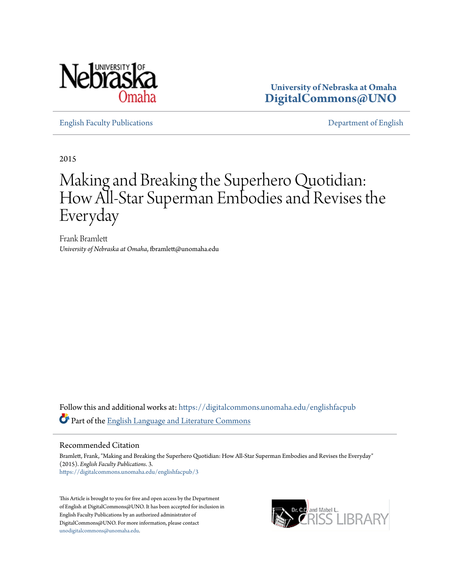

**University of Nebraska at Omaha [DigitalCommons@UNO](https://digitalcommons.unomaha.edu?utm_source=digitalcommons.unomaha.edu%2Fenglishfacpub%2F3&utm_medium=PDF&utm_campaign=PDFCoverPages)**

[English Faculty Publications](https://digitalcommons.unomaha.edu/englishfacpub?utm_source=digitalcommons.unomaha.edu%2Fenglishfacpub%2F3&utm_medium=PDF&utm_campaign=PDFCoverPages) [Department of English](https://digitalcommons.unomaha.edu/english?utm_source=digitalcommons.unomaha.edu%2Fenglishfacpub%2F3&utm_medium=PDF&utm_campaign=PDFCoverPages)

2015

# Making and Breaking the Superhero Quotidian: How All-Star Superman Embodies and Revises the Everyday

Frank Bramlett *University of Nebraska at Omaha*, fbramlett@unomaha.edu

Follow this and additional works at: [https://digitalcommons.unomaha.edu/englishfacpub](https://digitalcommons.unomaha.edu/englishfacpub?utm_source=digitalcommons.unomaha.edu%2Fenglishfacpub%2F3&utm_medium=PDF&utm_campaign=PDFCoverPages) Part of the [English Language and Literature Commons](http://network.bepress.com/hgg/discipline/455?utm_source=digitalcommons.unomaha.edu%2Fenglishfacpub%2F3&utm_medium=PDF&utm_campaign=PDFCoverPages)

#### Recommended Citation

Bramlett, Frank, "Making and Breaking the Superhero Quotidian: How All-Star Superman Embodies and Revises the Everyday" (2015). *English Faculty Publications*. 3. [https://digitalcommons.unomaha.edu/englishfacpub/3](https://digitalcommons.unomaha.edu/englishfacpub/3?utm_source=digitalcommons.unomaha.edu%2Fenglishfacpub%2F3&utm_medium=PDF&utm_campaign=PDFCoverPages)

This Article is brought to you for free and open access by the Department of English at DigitalCommons@UNO. It has been accepted for inclusion in English Faculty Publications by an authorized administrator of DigitalCommons@UNO. For more information, please contact [unodigitalcommons@unomaha.edu](mailto:unodigitalcommons@unomaha.edu).

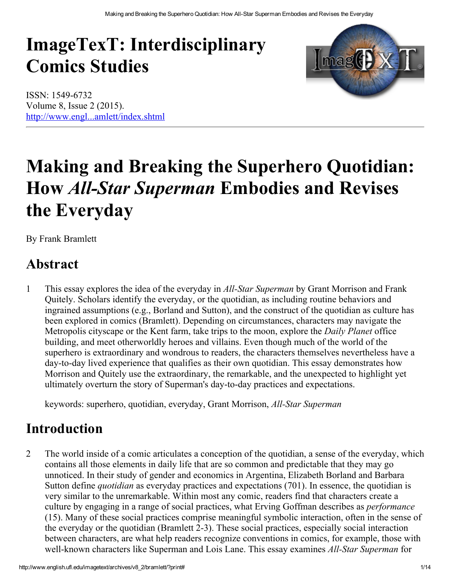# ImageTexT: Interdisciplinary Comics Studies





# Making and Breaking the Superhero Quotidian: How All-Star Superman Embodies and Revises the Everyday

By Frank Bramlett

# Abstract

1 This essay explores the idea of the everyday in *All-Star Superman* by Grant Morrison and Frank Quitely. Scholars identify the everyday, or the quotidian, as including routine behaviors and ingrained assumptions (e.g., Borland and Sutton), and the construct of the quotidian as culture has been explored in comics (Bramlett). Depending on circumstances, characters may navigate the Metropolis cityscape or the Kent farm, take trips to the moon, explore the *Daily Planet* office building, and meet otherworldly heroes and villains. Even though much of the world of the superhero is extraordinary and wondrous to readers, the characters themselves nevertheless have a day-to-day lived experience that qualifies as their own quotidian. This essay demonstrates how Morrison and Quitely use the extraordinary, the remarkable, and the unexpected to highlight yet ultimately overturn the story of Superman's day-to-day practices and expectations.

keywords: superhero, quotidian, everyday, Grant Morrison, All-Star Superman

# Introduction

2 The world inside of a comic articulates a conception of the quotidian, a sense of the everyday, which contains all those elements in daily life that are so common and predictable that they may go unnoticed. In their study of gender and economics in Argentina, Elizabeth Borland and Barbara Sutton define quotidian as everyday practices and expectations (701). In essence, the quotidian is very similar to the unremarkable. Within most any comic, readers find that characters create a culture by engaging in a range of social practices, what Erving Goffman describes as performance (15). Many of these social practices comprise meaningful symbolic interaction, often in the sense of the everyday or the quotidian (Bramlett 2-3). These social practices, especially social interaction between characters, are what help readers recognize conventions in comics, for example, those with well-known characters like Superman and Lois Lane. This essay examines *All-Star Superman* for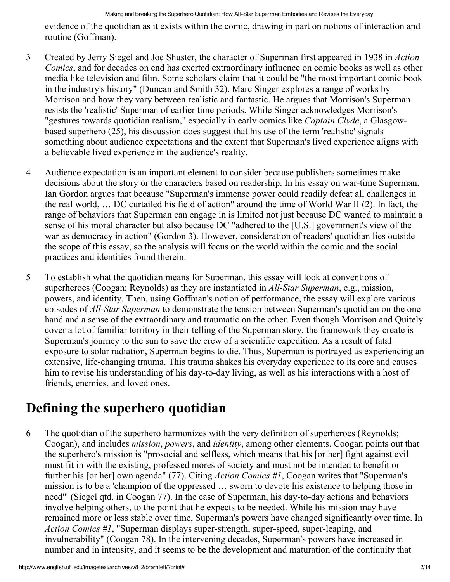evidence of the quotidian as it exists within the comic, drawing in part on notions of interaction and routine (Goffman).

- 3 Created by Jerry Siegel and Joe Shuster, the character of Superman first appeared in 1938 in Action Comics, and for decades on end has exerted extraordinary influence on comic books as well as other media like television and film. Some scholars claim that it could be "the most important comic book in the industry's history" (Duncan and Smith 32). Marc Singer explores a range of works by Morrison and how they vary between realistic and fantastic. He argues that Morrison's Superman resists the 'realistic' Superman of earlier time periods. While Singer acknowledges Morrison's "gestures towards quotidian realism," especially in early comics like *Captain Clyde*, a Glasgowbased superhero (25), his discussion does suggest that his use of the term 'realistic' signals something about audience expectations and the extent that Superman's lived experience aligns with a believable lived experience in the audience's reality.
- 4 Audience expectation is an important element to consider because publishers sometimes make decisions about the story or the characters based on readership. In his essay on war-time Superman, Ian Gordon argues that because "Superman's immense power could readily defeat all challenges in the real world, … DC curtailed his field of action" around the time of World War II (2). In fact, the range of behaviors that Superman can engage in is limited not just because DC wanted to maintain a sense of his moral character but also because DC "adhered to the [U.S.] government's view of the war as democracy in action" (Gordon 3). However, consideration of readers' quotidian lies outside the scope of this essay, so the analysis will focus on the world within the comic and the social practices and identities found therein.
- 5 To establish what the quotidian means for Superman, this essay will look at conventions of superheroes (Coogan; Reynolds) as they are instantiated in *All-Star Superman*, e.g., mission, powers, and identity. Then, using Goffman's notion of performance, the essay will explore various episodes of *All-Star Superman* to demonstrate the tension between Superman's quotidian on the one hand and a sense of the extraordinary and traumatic on the other. Even though Morrison and Quitely cover a lot of familiar territory in their telling of the Superman story, the framework they create is Superman's journey to the sun to save the crew of a scientific expedition. As a result of fatal exposure to solar radiation, Superman begins to die. Thus, Superman is portrayed as experiencing an extensive, life-changing trauma. This trauma shakes his everyday experience to its core and causes him to revise his understanding of his day-to-day living, as well as his interactions with a host of friends, enemies, and loved ones.

# Defining the superhero quotidian

6 The quotidian of the superhero harmonizes with the very definition of superheroes (Reynolds; Coogan), and includes mission, powers, and identity, among other elements. Coogan points out that the superhero's mission is "prosocial and selfless, which means that his [or her] fight against evil must fit in with the existing, professed mores of society and must not be intended to benefit or further his [or her] own agenda" (77). Citing *Action Comics* #1, Coogan writes that "Superman's mission is to be a 'champion of the oppressed … sworn to devote his existence to helping those in need'" (Siegel qtd. in Coogan 77). In the case of Superman, his day-to-day actions and behaviors involve helping others, to the point that he expects to be needed. While his mission may have remained more or less stable over time, Superman's powers have changed significantly over time. In Action Comics #1, "Superman displays super-strength, super-speed, super-leaping, and invulnerability" (Coogan 78). In the intervening decades, Superman's powers have increased in number and in intensity, and it seems to be the development and maturation of the continuity that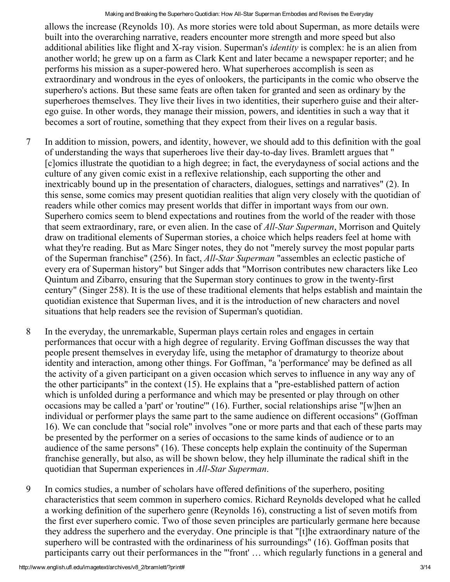allows the increase (Reynolds 10). As more stories were told about Superman, as more details were built into the overarching narrative, readers encounter more strength and more speed but also additional abilities like flight and X-ray vision. Superman's *identity* is complex: he is an alien from another world; he grew up on a farm as Clark Kent and later became a newspaper reporter; and he performs his mission as a super-powered hero. What superheroes accomplish is seen as extraordinary and wondrous in the eyes of onlookers, the participants in the comic who observe the superhero's actions. But these same feats are often taken for granted and seen as ordinary by the superheroes themselves. They live their lives in two identities, their superhero guise and their alterego guise. In other words, they manage their mission, powers, and identities in such a way that it becomes a sort of routine, something that they expect from their lives on a regular basis.

- 7 In addition to mission, powers, and identity, however, we should add to this definition with the goal of understanding the ways that superheroes live their day-to-day lives. Bramlett argues that " [c]omics illustrate the quotidian to a high degree; in fact, the everydayness of social actions and the culture of any given comic exist in a reflexive relationship, each supporting the other and inextricably bound up in the presentation of characters, dialogues, settings and narratives" (2). In this sense, some comics may present quotidian realities that align very closely with the quotidian of readers while other comics may present worlds that differ in important ways from our own. Superhero comics seem to blend expectations and routines from the world of the reader with those that seem extraordinary, rare, or even alien. In the case of *All-Star Superman*, Morrison and Quitely draw on traditional elements of Superman stories, a choice which helps readers feel at home with what they're reading. But as Marc Singer notes, they do not "merely survey the most popular parts of the Superman franchise" (256). In fact, *All-Star Superman* "assembles an eclectic pastiche of every era of Superman history" but Singer adds that "Morrison contributes new characters like Leo Quintum and Zibarro, ensuring that the Superman story continues to grow in the twenty-first century" (Singer 258). It is the use of these traditional elements that helps establish and maintain the quotidian existence that Superman lives, and it is the introduction of new characters and novel situations that help readers see the revision of Superman's quotidian.
- 8 In the everyday, the unremarkable, Superman plays certain roles and engages in certain performances that occur with a high degree of regularity. Erving Goffman discusses the way that people present themselves in everyday life, using the metaphor of dramaturgy to theorize about identity and interaction, among other things. For Goffman, "a 'performance' may be defined as all the activity of a given participant on a given occasion which serves to influence in any way any of the other participants" in the context  $(15)$ . He explains that a "pre-established pattern of action which is unfolded during a performance and which may be presented or play through on other occasions may be called a 'part' or 'routine'" (16). Further, social relationships arise "[w]hen an individual or performer plays the same part to the same audience on different occasions" (Goffman 16). We can conclude that "social role" involves "one or more parts and that each of these parts may be presented by the performer on a series of occasions to the same kinds of audience or to an audience of the same persons" (16). These concepts help explain the continuity of the Superman franchise generally, but also, as will be shown below, they help illuminate the radical shift in the quotidian that Superman experiences in *All-Star Superman*.
- 9 In comics studies, a number of scholars have offered definitions of the superhero, positing characteristics that seem common in superhero comics. Richard Reynolds developed what he called a working definition of the superhero genre (Reynolds 16), constructing a list of seven motifs from the first ever superhero comic. Two of those seven principles are particularly germane here because they address the superhero and the everyday. One principle is that "[t]he extraordinary nature of the superhero will be contrasted with the ordinariness of his surroundings" (16). Goffman posits that participants carry out their performances in the "'front' … which regularly functions in a general and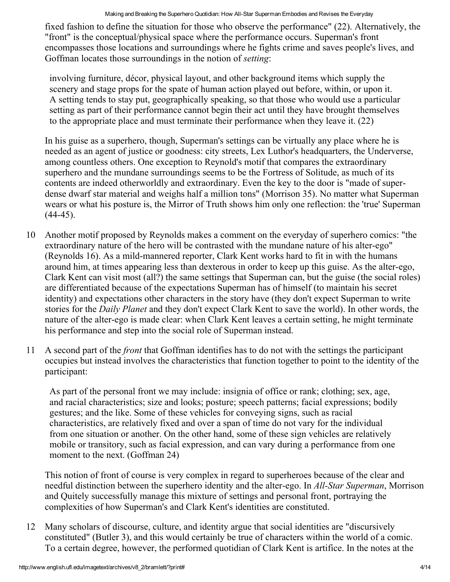fixed fashion to define the situation for those who observe the performance" (22). Alternatively, the "front" is the conceptual/physical space where the performance occurs. Superman's front encompasses those locations and surroundings where he fights crime and saves people's lives, and Goffman locates those surroundings in the notion of setting:

involving furniture, décor, physical layout, and other background items which supply the scenery and stage props for the spate of human action played out before, within, or upon it. A setting tends to stay put, geographically speaking, so that those who would use a particular setting as part of their performance cannot begin their act until they have brought themselves to the appropriate place and must terminate their performance when they leave it. (22)

In his guise as a superhero, though, Superman's settings can be virtually any place where he is needed as an agent of justice or goodness: city streets, Lex Luthor's headquarters, the Underverse, among countless others. One exception to Reynold's motif that compares the extraordinary superhero and the mundane surroundings seems to be the Fortress of Solitude, as much of its contents are indeed otherworldly and extraordinary. Even the key to the door is "made of superdense dwarf star material and weighs half a million tons" (Morrison 35). No matter what Superman wears or what his posture is, the Mirror of Truth shows him only one reflection: the 'true' Superman  $(44-45)$ .

- 10 Another motif proposed by Reynolds makes a comment on the everyday of superhero comics: "the extraordinary nature of the hero will be contrasted with the mundane nature of his alter-ego" (Reynolds 16). As a mild-mannered reporter, Clark Kent works hard to fit in with the humans around him, at times appearing less than dexterous in order to keep up this guise. As the alter-ego, Clark Kent can visit most (all?) the same settings that Superman can, but the guise (the social roles) are differentiated because of the expectations Superman has of himself (to maintain his secret identity) and expectations other characters in the story have (they don't expect Superman to write stories for the Daily Planet and they don't expect Clark Kent to save the world). In other words, the nature of the alter-ego is made clear: when Clark Kent leaves a certain setting, he might terminate his performance and step into the social role of Superman instead.
- 11 A second part of the front that Goffman identifies has to do not with the settings the participant occupies but instead involves the characteristics that function together to point to the identity of the participant:

As part of the personal front we may include: insignia of office or rank; clothing; sex, age, and racial characteristics; size and looks; posture; speech patterns; facial expressions; bodily gestures; and the like. Some of these vehicles for conveying signs, such as racial characteristics, are relatively fixed and over a span of time do not vary for the individual from one situation or another. On the other hand, some of these sign vehicles are relatively mobile or transitory, such as facial expression, and can vary during a performance from one moment to the next. (Goffman 24)

This notion of front of course is very complex in regard to superheroes because of the clear and needful distinction between the superhero identity and the alter-ego. In *All-Star Superman*, Morrison and Quitely successfully manage this mixture of settings and personal front, portraying the complexities of how Superman's and Clark Kent's identities are constituted.

12 Many scholars of discourse, culture, and identity argue that social identities are "discursively constituted" (Butler 3), and this would certainly be true of characters within the world of a comic. To a certain degree, however, the performed quotidian of Clark Kent is artifice. In the notes at the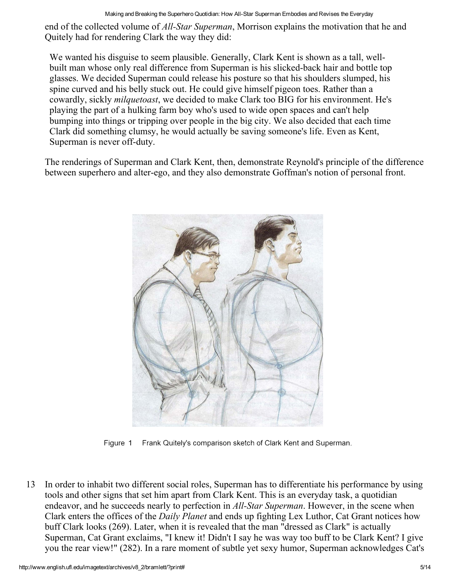end of the collected volume of *All-Star Superman*, Morrison explains the motivation that he and Quitely had for rendering Clark the way they did:

We wanted his disguise to seem plausible. Generally, Clark Kent is shown as a tall, wellbuilt man whose only real difference from Superman is his slicked-back hair and bottle top glasses. We decided Superman could release his posture so that his shoulders slumped, his spine curved and his belly stuck out. He could give himself pigeon toes. Rather than a cowardly, sickly *milquetoast*, we decided to make Clark too BIG for his environment. He's playing the part of a hulking farm boy who's used to wide open spaces and can't help bumping into things or tripping over people in the big city. We also decided that each time Clark did something clumsy, he would actually be saving someone's life. Even as Kent, Superman is never off-duty.

The renderings of Superman and Clark Kent, then, demonstrate Reynold's principle of the difference between superhero and alter-ego, and they also demonstrate Goffman's notion of personal front.



Figure 1 Frank Quitely's comparison sketch of Clark Kent and Superman.

13 In order to inhabit two different social roles, Superman has to differentiate his performance by using tools and other signs that set him apart from Clark Kent. This is an everyday task, a quotidian endeavor, and he succeeds nearly to perfection in *All-Star Superman*. However, in the scene when Clark enters the offices of the Daily Planet and ends up fighting Lex Luthor, Cat Grant notices how buff Clark looks (269). Later, when it is revealed that the man "dressed as Clark" is actually Superman, Cat Grant exclaims, "I knew it! Didn't I say he was way too buff to be Clark Kent? I give you the rear view!" (282). In a rare moment of subtle yet sexy humor, Superman acknowledges Cat's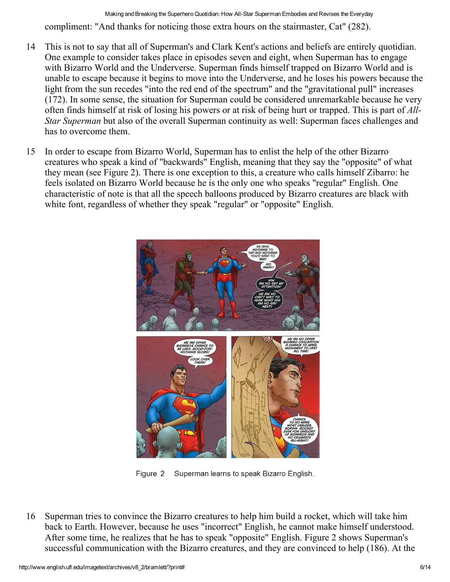- 14 This is not to say that all of Superman's and Clark Kent's actions and beliefs are entirely quotidian. One example to consider takes place in episodes seven and eight, when Superman has to engage with Bizarro World and the Underverse. Superman finds himself trapped on Bizarro World and is unable to escape because it begins to move into the Underverse, and he loses his powers because the light from the sun recedes "into the red end of the spectrum" and the "gravitational pull" increases (172). In some sense, the situation for Superman could be considered unremarkable because he very often finds himself at risk of losing his powers or at risk of being hurt or trapped. This is part of All-Star Superman but also of the overall Superman continuity as well: Superman faces challenges and has to overcome them.
- 15 In order to escape from Bizarro World, Superman has to enlist the help of the other Bizarro creatures who speak a kind of "backwards" English, meaning that they say the "opposite" of what they mean (see Figure 2). There is one exception to this, a creature who calls himself Zibarro: he feels isolated on Bizarro World because he is the only one who speaks "regular" English. One characteristic of note is that all the speech balloons produced by Bizarro creatures are black with white font, regardless of whether they speak "regular" or "opposite" English.



Figure 2 Superman learns to speak Bizarro English.

16 Superman tries to convince the Bizarro creatures to help him build a rocket, which will take him back to Earth. However, because he uses "incorrect" English, he cannot make himself understood. After some time, he realizes that he has to speak "opposite" English. Figure 2 shows Superman's successful communication with the Bizarro creatures, and they are convinced to help (186). At the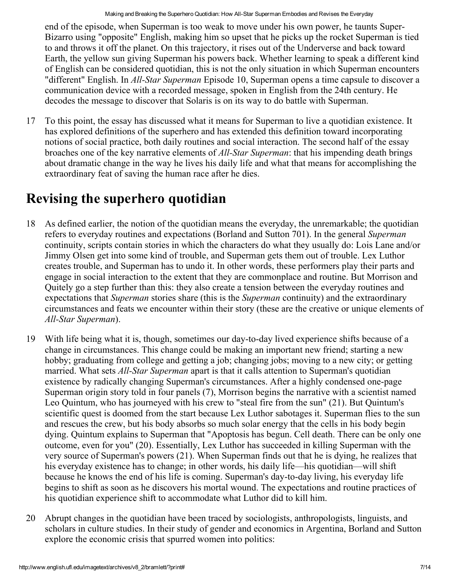end of the episode, when Superman is too weak to move under his own power, he taunts Super-Bizarro using "opposite" English, making him so upset that he picks up the rocket Superman is tied to and throws it off the planet. On this trajectory, it rises out of the Underverse and back toward Earth, the yellow sun giving Superman his powers back. Whether learning to speak a different kind of English can be considered quotidian, this is not the only situation in which Superman encounters "different" English. In *All-Star Superman* Episode 10, Superman opens a time capsule to discover a communication device with a recorded message, spoken in English from the 24th century. He decodes the message to discover that Solaris is on its way to do battle with Superman.

17 To this point, the essay has discussed what it means for Superman to live a quotidian existence. It has explored definitions of the superhero and has extended this definition toward incorporating notions of social practice, both daily routines and social interaction. The second half of the essay broaches one of the key narrative elements of *All-Star Superman*: that his impending death brings about dramatic change in the way he lives his daily life and what that means for accomplishing the extraordinary feat of saving the human race after he dies.

#### Revising the superhero quotidian

- 18 As defined earlier, the notion of the quotidian means the everyday, the unremarkable; the quotidian refers to everyday routines and expectations (Borland and Sutton 701). In the general Superman continuity, scripts contain stories in which the characters do what they usually do: Lois Lane and/or Jimmy Olsen get into some kind of trouble, and Superman gets them out of trouble. Lex Luthor creates trouble, and Superman has to undo it. In other words, these performers play their parts and engage in social interaction to the extent that they are commonplace and routine. But Morrison and Quitely go a step further than this: they also create a tension between the everyday routines and expectations that *Superman* stories share (this is the *Superman* continuity) and the extraordinary circumstances and feats we encounter within their story (these are the creative or unique elements of All-Star Superman).
- 19 With life being what it is, though, sometimes our day-to-day lived experience shifts because of a change in circumstances. This change could be making an important new friend; starting a new hobby; graduating from college and getting a job; changing jobs; moving to a new city; or getting married. What sets *All-Star Superman* apart is that it calls attention to Superman's quotidian existence by radically changing Superman's circumstances. After a highly condensed one-page Superman origin story told in four panels (7), Morrison begins the narrative with a scientist named Leo Quintum, who has journeyed with his crew to "steal fire from the sun" (21). But Quintum's scientific quest is doomed from the start because Lex Luthor sabotages it. Superman flies to the sun and rescues the crew, but his body absorbs so much solar energy that the cells in his body begin dying. Quintum explains to Superman that "Apoptosis has begun. Cell death. There can be only one outcome, even for you" (20). Essentially, Lex Luthor has succeeded in killing Superman with the very source of Superman's powers (21). When Superman finds out that he is dying, he realizes that his everyday existence has to change; in other words, his daily life—his quotidian—will shift because he knows the end of his life is coming. Superman's day-to-day living, his everyday life begins to shift as soon as he discovers his mortal wound. The expectations and routine practices of his quotidian experience shift to accommodate what Luthor did to kill him.
- 20 Abrupt changes in the quotidian have been traced by sociologists, anthropologists, linguists, and scholars in culture studies. In their study of gender and economics in Argentina, Borland and Sutton explore the economic crisis that spurred women into politics: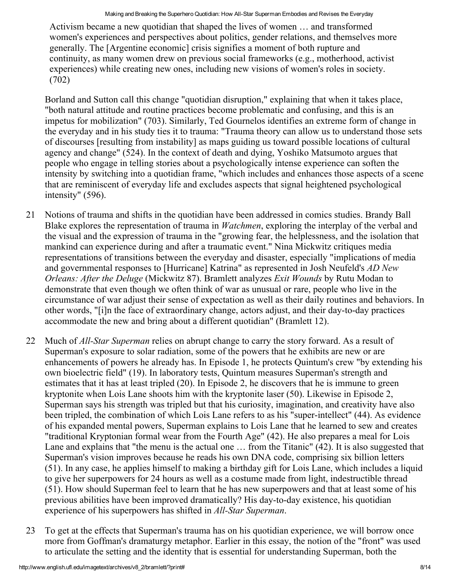Activism became a new quotidian that shaped the lives of women … and transformed women's experiences and perspectives about politics, gender relations, and themselves more generally. The [Argentine economic] crisis signifies a moment of both rupture and continuity, as many women drew on previous social frameworks (e.g., motherhood, activist experiences) while creating new ones, including new visions of women's roles in society. (702)

Borland and Sutton call this change "quotidian disruption," explaining that when it takes place, "both natural attitude and routine practices become problematic and confusing, and this is an impetus for mobilization" (703). Similarly, Ted Gournelos identifies an extreme form of change in the everyday and in his study ties it to trauma: "Trauma theory can allow us to understand those sets of discourses [resulting from instability] as maps guiding us toward possible locations of cultural agency and change" (524). In the context of death and dying, Yoshiko Matsumoto argues that people who engage in telling stories about a psychologically intense experience can soften the intensity by switching into a quotidian frame, "which includes and enhances those aspects of a scene that are reminiscent of everyday life and excludes aspects that signal heightened psychological intensity" (596).

- 21 Notions of trauma and shifts in the quotidian have been addressed in comics studies. Brandy Ball Blake explores the representation of trauma in Watchmen, exploring the interplay of the verbal and the visual and the expression of trauma in the "growing fear, the helplessness, and the isolation that mankind can experience during and after a traumatic event." Nina Mickwitz critiques media representations of transitions between the everyday and disaster, especially "implications of media and governmental responses to [Hurricane] Katrina" as represented in Josh Neufeld's AD New Orleans: After the Deluge (Mickwitz 87). Bramlett analyzes Exit Wounds by Rutu Modan to demonstrate that even though we often think of war as unusual or rare, people who live in the circumstance of war adjust their sense of expectation as well as their daily routines and behaviors. In other words, "[i]n the face of extraordinary change, actors adjust, and their day-to-day practices accommodate the new and bring about a different quotidian" (Bramlett 12).
- 22 Much of *All-Star Superman* relies on abrupt change to carry the story forward. As a result of Superman's exposure to solar radiation, some of the powers that he exhibits are new or are enhancements of powers he already has. In Episode 1, he protects Quintum's crew "by extending his own bioelectric field" (19). In laboratory tests, Quintum measures Superman's strength and estimates that it has at least tripled (20). In Episode 2, he discovers that he is immune to green kryptonite when Lois Lane shoots him with the kryptonite laser (50). Likewise in Episode 2, Superman says his strength was tripled but that his curiosity, imagination, and creativity have also been tripled, the combination of which Lois Lane refers to as his "super-intellect" (44). As evidence of his expanded mental powers, Superman explains to Lois Lane that he learned to sew and creates "traditional Kryptonian formal wear from the Fourth Age" (42). He also prepares a meal for Lois Lane and explains that "the menu is the actual one … from the Titanic" (42). It is also suggested that Superman's vision improves because he reads his own DNA code, comprising six billion letters (51). In any case, he applies himself to making a birthday gift for Lois Lane, which includes a liquid to give her superpowers for 24 hours as well as a costume made from light, indestructible thread (51). How should Superman feel to learn that he has new superpowers and that at least some of his previous abilities have been improved dramatically? His day-to-day existence, his quotidian experience of his superpowers has shifted in *All-Star Superman*.
- 23 To get at the effects that Superman's trauma has on his quotidian experience, we will borrow once more from Goffman's dramaturgy metaphor. Earlier in this essay, the notion of the "front" was used to articulate the setting and the identity that is essential for understanding Superman, both the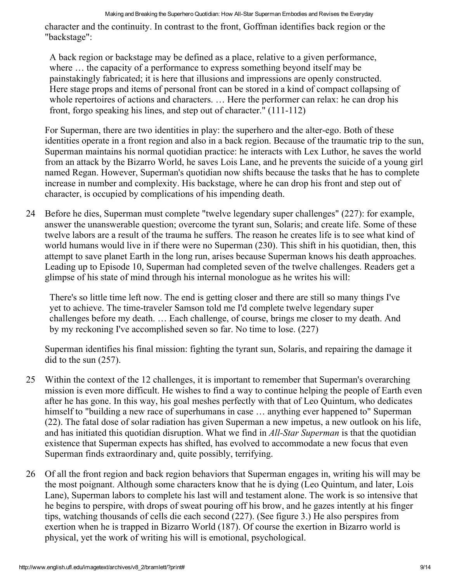character and the continuity. In contrast to the front, Goffman identifies back region or the "backstage":

A back region or backstage may be defined as a place, relative to a given performance, where … the capacity of a performance to express something beyond itself may be painstakingly fabricated; it is here that illusions and impressions are openly constructed. Here stage props and items of personal front can be stored in a kind of compact collapsing of whole repertoires of actions and characters. … Here the performer can relax: he can drop his front, forgo speaking his lines, and step out of character." (111-112)

For Superman, there are two identities in play: the superhero and the alter-ego. Both of these identities operate in a front region and also in a back region. Because of the traumatic trip to the sun, Superman maintains his normal quotidian practice: he interacts with Lex Luthor, he saves the world from an attack by the Bizarro World, he saves Lois Lane, and he prevents the suicide of a young girl named Regan. However, Superman's quotidian now shifts because the tasks that he has to complete increase in number and complexity. His backstage, where he can drop his front and step out of character, is occupied by complications of his impending death.

24 Before he dies, Superman must complete "twelve legendary super challenges" (227): for example, answer the unanswerable question; overcome the tyrant sun, Solaris; and create life. Some of these twelve labors are a result of the trauma he suffers. The reason he creates life is to see what kind of world humans would live in if there were no Superman (230). This shift in his quotidian, then, this attempt to save planet Earth in the long run, arises because Superman knows his death approaches. Leading up to Episode 10, Superman had completed seven of the twelve challenges. Readers get a glimpse of his state of mind through his internal monologue as he writes his will:

There's so little time left now. The end is getting closer and there are still so many things I've yet to achieve. The time-traveler Samson told me I'd complete twelve legendary super challenges before my death. … Each challenge, of course, brings me closer to my death. And by my reckoning I've accomplished seven so far. No time to lose. (227)

Superman identifies his final mission: fighting the tyrant sun, Solaris, and repairing the damage it did to the sun (257).

- 25 Within the context of the 12 challenges, it is important to remember that Superman's overarching mission is even more difficult. He wishes to find a way to continue helping the people of Earth even after he has gone. In this way, his goal meshes perfectly with that of Leo Quintum, who dedicates himself to "building a new race of superhumans in case ... anything ever happened to" Superman (22). The fatal dose of solar radiation has given Superman a new impetus, a new outlook on his life, and has initiated this quotidian disruption. What we find in *All-Star Superman* is that the quotidian existence that Superman expects has shifted, has evolved to accommodate a new focus that even Superman finds extraordinary and, quite possibly, terrifying.
- 26 Of all the front region and back region behaviors that Superman engages in, writing his will may be the most poignant. Although some characters know that he is dying (Leo Quintum, and later, Lois Lane), Superman labors to complete his last will and testament alone. The work is so intensive that he begins to perspire, with drops of sweat pouring off his brow, and he gazes intently at his finger tips, watching thousands of cells die each second (227). (See figure 3.) He also perspires from exertion when he is trapped in Bizarro World (187). Of course the exertion in Bizarro world is physical, yet the work of writing his will is emotional, psychological.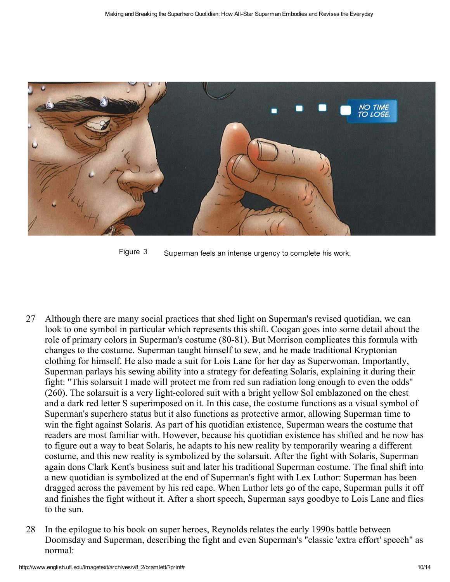

Figure 3 Superman feels an intense urgency to complete his work.

- 27 Although there are many social practices that shed light on Superman's revised quotidian, we can look to one symbol in particular which represents this shift. Coogan goes into some detail about the role of primary colors in Superman's costume (80-81). But Morrison complicates this formula with changes to the costume. Superman taught himself to sew, and he made traditional Kryptonian clothing for himself. He also made a suit for Lois Lane for her day as Superwoman. Importantly, Superman parlays his sewing ability into a strategy for defeating Solaris, explaining it during their fight: "This solarsuit I made will protect me from red sun radiation long enough to even the odds"  $(260)$ . The solarsuit is a very light-colored suit with a bright yellow Sol emblazoned on the chest and a dark red letter S superimposed on it. In this case, the costume functions as a visual symbol of Superman's superhero status but it also functions as protective armor, allowing Superman time to win the fight against Solaris. As part of his quotidian existence, Superman wears the costume that readers are most familiar with. However, because his quotidian existence has shifted and he now has to figure out a way to beat Solaris, he adapts to his new reality by temporarily wearing a different costume, and this new reality is symbolized by the solarsuit. After the fight with Solaris, Superman again dons Clark Kent's business suit and later his traditional Superman costume. The final shift into a new quotidian is symbolized at the end of Superman's fight with Lex Luthor: Superman has been dragged across the pavement by his red cape. When Luthor lets go of the cape, Superman pulls it off and finishes the fight without it. After a short speech, Superman says goodbye to Lois Lane and flies to the sun.
- 28 In the epilogue to his book on super heroes, Reynolds relates the early 1990s battle between Doomsday and Superman, describing the fight and even Superman's "classic 'extra effort' speech" as normal: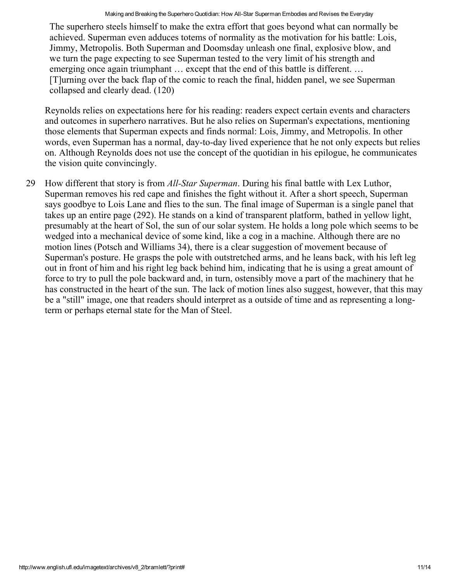The superhero steels himself to make the extra effort that goes beyond what can normally be achieved. Superman even adduces totems of normality as the motivation for his battle: Lois, Jimmy, Metropolis. Both Superman and Doomsday unleash one final, explosive blow, and we turn the page expecting to see Superman tested to the very limit of his strength and emerging once again triumphant ... except that the end of this battle is different. ... [T]urning over the back flap of the comic to reach the final, hidden panel, we see Superman collapsed and clearly dead. (120)

Reynolds relies on expectations here for his reading: readers expect certain events and characters and outcomes in superhero narratives. But he also relies on Superman's expectations, mentioning those elements that Superman expects and finds normal: Lois, Jimmy, and Metropolis. In other words, even Superman has a normal, day-to-day lived experience that he not only expects but relies on. Although Reynolds does not use the concept of the quotidian in his epilogue, he communicates the vision quite convincingly.

29 How different that story is from *All-Star Superman*. During his final battle with Lex Luthor, Superman removes his red cape and finishes the fight without it. After a short speech, Superman says goodbye to Lois Lane and flies to the sun. The final image of Superman is a single panel that takes up an entire page (292). He stands on a kind of transparent platform, bathed in yellow light, presumably at the heart of Sol, the sun of our solar system. He holds a long pole which seems to be wedged into a mechanical device of some kind, like a cog in a machine. Although there are no motion lines (Potsch and Williams 34), there is a clear suggestion of movement because of Superman's posture. He grasps the pole with outstretched arms, and he leans back, with his left leg out in front of him and his right leg back behind him, indicating that he is using a great amount of force to try to pull the pole backward and, in turn, ostensibly move a part of the machinery that he has constructed in the heart of the sun. The lack of motion lines also suggest, however, that this may be a "still" image, one that readers should interpret as a outside of time and as representing a longterm or perhaps eternal state for the Man of Steel.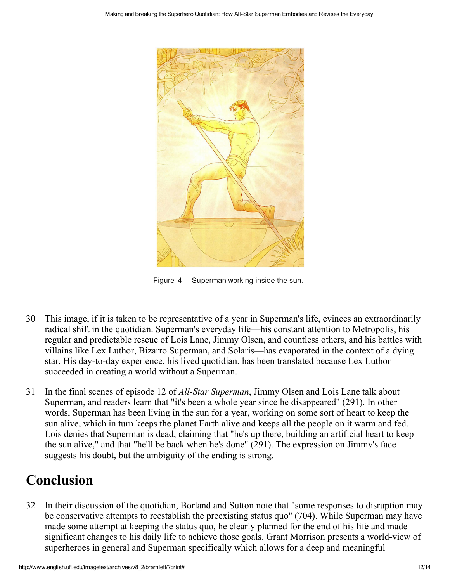

Figure 4 Superman working inside the sun.

- 30 This image, if it is taken to be representative of a year in Superman's life, evinces an extraordinarily radical shift in the quotidian. Superman's everyday life—his constant attention to Metropolis, his regular and predictable rescue of Lois Lane, Jimmy Olsen, and countless others, and his battles with villains like Lex Luthor, Bizarro Superman, and Solaris—has evaporated in the context of a dying star. His day-to-day experience, his lived quotidian, has been translated because Lex Luthor succeeded in creating a world without a Superman.
- 31 In the final scenes of episode 12 of *All-Star Superman*, Jimmy Olsen and Lois Lane talk about Superman, and readers learn that "it's been a whole year since he disappeared" (291). In other words, Superman has been living in the sun for a year, working on some sort of heart to keep the sun alive, which in turn keeps the planet Earth alive and keeps all the people on it warm and fed. Lois denies that Superman is dead, claiming that "he's up there, building an artificial heart to keep the sun alive," and that "he'll be back when he's done" (291). The expression on Jimmy's face suggests his doubt, but the ambiguity of the ending is strong.

### Conclusion

32 In their discussion of the quotidian, Borland and Sutton note that "some responses to disruption may be conservative attempts to reestablish the preexisting status quo" (704). While Superman may have made some attempt at keeping the status quo, he clearly planned for the end of his life and made significant changes to his daily life to achieve those goals. Grant Morrison presents a world-view of superheroes in general and Superman specifically which allows for a deep and meaningful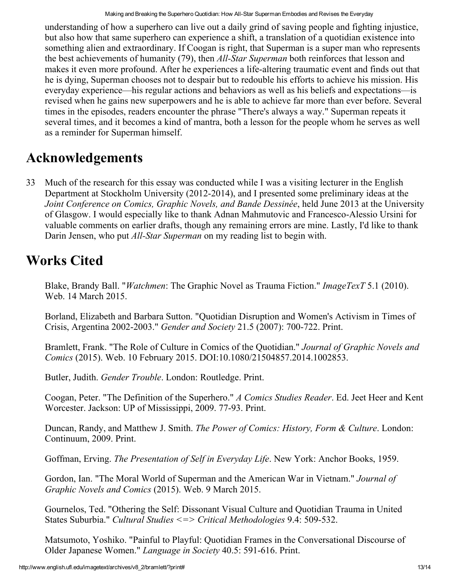understanding of how a superhero can live out a daily grind of saving people and fighting injustice, but also how that same superhero can experience a shift, a translation of a quotidian existence into something alien and extraordinary. If Coogan is right, that Superman is a super man who represents the best achievements of humanity (79), then *All-Star Superman* both reinforces that lesson and makes it even more profound. After he experiences a life-altering traumatic event and finds out that he is dying, Superman chooses not to despair but to redouble his efforts to achieve his mission. His everyday experience—his regular actions and behaviors as well as his beliefs and expectations—is revised when he gains new superpowers and he is able to achieve far more than ever before. Several times in the episodes, readers encounter the phrase "There's always a way." Superman repeats it several times, and it becomes a kind of mantra, both a lesson for the people whom he serves as well as a reminder for Superman himself.

### Acknowledgements

33 Much of the research for this essay was conducted while I was a visiting lecturer in the English Department at Stockholm University (2012-2014), and I presented some preliminary ideas at the Joint Conference on Comics, Graphic Novels, and Bande Dessinée, held June 2013 at the University of Glasgow. I would especially like to thank Adnan Mahmutovic and Francesco-Alessio Ursini for valuable comments on earlier drafts, though any remaining errors are mine. Lastly, I'd like to thank Darin Jensen, who put *All-Star Superman* on my reading list to begin with.

#### Works Cited

Blake, Brandy Ball. "*Watchmen*: The Graphic Novel as Trauma Fiction." *ImageTexT* 5.1 (2010). Web. 14 March 2015.

Borland, Elizabeth and Barbara Sutton. "Quotidian Disruption and Women's Activism in Times of Crisis, Argentina 2002-2003." Gender and Society 21.5 (2007): 700-722. Print.

Bramlett, Frank. "The Role of Culture in Comics of the Quotidian." Journal of Graphic Novels and Comics (2015). Web. 10 February 2015. DOI:10.1080/21504857.2014.1002853.

Butler, Judith. Gender Trouble. London: Routledge. Print.

Coogan, Peter. "The Definition of the Superhero." A Comics Studies Reader. Ed. Jeet Heer and Kent Worcester. Jackson: UP of Mississippi, 2009. 77-93. Print.

Duncan, Randy, and Matthew J. Smith. The Power of Comics: History, Form & Culture. London: Continuum, 2009. Print.

Goffman, Erving. The Presentation of Self in Everyday Life. New York: Anchor Books, 1959.

Gordon, Ian. "The Moral World of Superman and the American War in Vietnam." Journal of Graphic Novels and Comics (2015). Web. 9 March 2015.

Gournelos, Ted. "Othering the Self: Dissonant Visual Culture and Quotidian Trauma in United States Suburbia." Cultural Studies  $\leq$  > Critical Methodologies 9.4: 509-532.

Matsumoto, Yoshiko. "Painful to Playful: Quotidian Frames in the Conversational Discourse of Older Japanese Women." Language in Society 40.5: 591-616. Print.